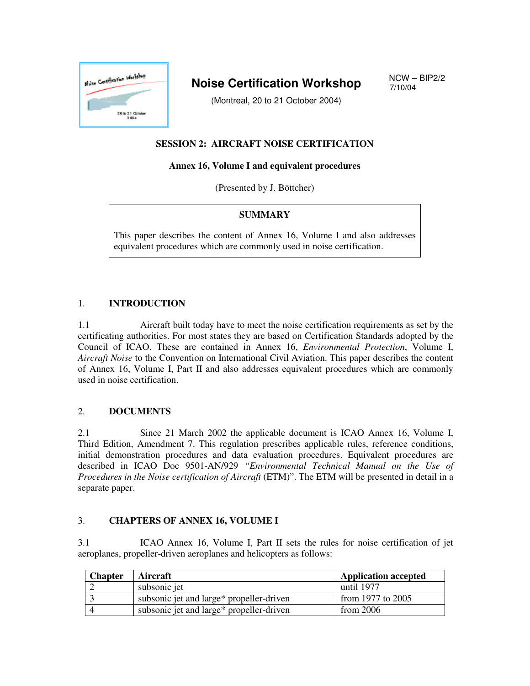

# **Noise Certification Workshop**

(Montreal, 20 to 21 October 2004)

# **SESSION 2: AIRCRAFT NOISE CERTIFICATION**

## **Annex 16, Volume I and equivalent procedures**

(Presented by J. Böttcher)

## **SUMMARY**

This paper describes the content of Annex 16, Volume I and also addresses equivalent procedures which are commonly used in noise certification.

## 1. **INTRODUCTION**

1.1 Aircraft built today have to meet the noise certification requirements as set by the certificating authorities. For most states they are based on Certification Standards adopted by the Council of ICAO. These are contained in Annex 16, *Environmental Protection*, Volume I, *Aircraft Noise* to the Convention on International Civil Aviation. This paper describes the content of Annex 16, Volume I, Part II and also addresses equivalent procedures which are commonly used in noise certification.

### 2. **DOCUMENTS**

2.1 Since 21 March 2002 the applicable document is ICAO Annex 16, Volume I, Third Edition, Amendment 7. This regulation prescribes applicable rules, reference conditions, initial demonstration procedures and data evaluation procedures. Equivalent procedures are described in ICAO Doc 9501-AN/929 *"Environmental Technical Manual on the Use of Procedures in the Noise certification of Aircraft* (ETM)". The ETM will be presented in detail in a separate paper.

#### 3. **CHAPTERS OF ANNEX 16, VOLUME I**

3.1 ICAO Annex 16, Volume I, Part II sets the rules for noise certification of jet aeroplanes, propeller-driven aeroplanes and helicopters as follows:

| <b>Chapter</b> | Aircraft                                 | <b>Application accepted</b> |
|----------------|------------------------------------------|-----------------------------|
|                | subsonic jet                             | until 1977                  |
|                | subsonic jet and large* propeller-driven | from 1977 to 2005           |
|                | subsonic jet and large* propeller-driven | from $2006$                 |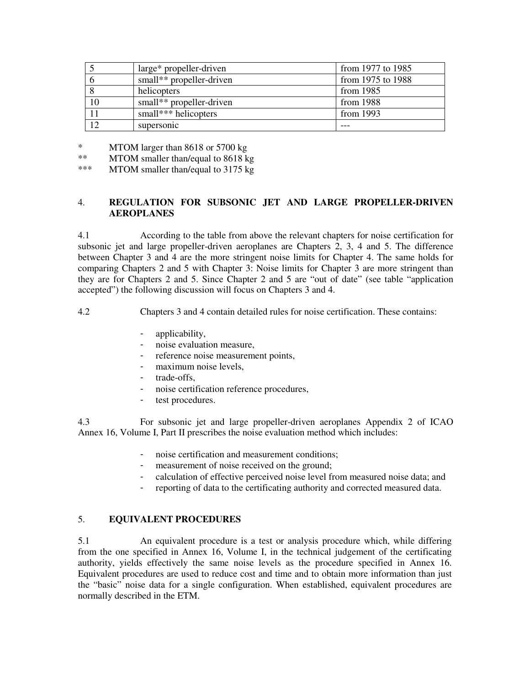|    | large* propeller-driven  | from 1977 to 1985 |
|----|--------------------------|-------------------|
|    | small** propeller-driven | from 1975 to 1988 |
|    | helicopters              | from $1985$       |
| 10 | small** propeller-driven | from $1988$       |
|    | small*** helicopters     | from $1993$       |
|    | supersonic               |                   |

\* MTOM larger than 8618 or 5700 kg

\*\* MTOM smaller than/equal to 8618 kg

\*\*\* MTOM smaller than/equal to 3175 kg

## 4. **REGULATION FOR SUBSONIC JET AND LARGE PROPELLER-DRIVEN AEROPLANES**

4.1 According to the table from above the relevant chapters for noise certification for subsonic jet and large propeller-driven aeroplanes are Chapters 2, 3, 4 and 5. The difference between Chapter 3 and 4 are the more stringent noise limits for Chapter 4. The same holds for comparing Chapters 2 and 5 with Chapter 3: Noise limits for Chapter 3 are more stringent than they are for Chapters 2 and 5. Since Chapter 2 and 5 are "out of date" (see table "application accepted") the following discussion will focus on Chapters 3 and 4.

4.2 Chapters 3 and 4 contain detailed rules for noise certification. These contains:

- applicability,
- noise evaluation measure,
- reference noise measurement points,
- maximum noise levels.
- trade-offs.
- noise certification reference procedures,
- test procedures.

4.3 For subsonic jet and large propeller-driven aeroplanes Appendix 2 of ICAO Annex 16, Volume I, Part II prescribes the noise evaluation method which includes:

- noise certification and measurement conditions;
- measurement of noise received on the ground;
- calculation of effective perceived noise level from measured noise data; and
- reporting of data to the certificating authority and corrected measured data.

#### 5. **EQUIVALENT PROCEDURES**

5.1 An equivalent procedure is a test or analysis procedure which, while differing from the one specified in Annex 16, Volume I, in the technical judgement of the certificating authority, yields effectively the same noise levels as the procedure specified in Annex 16. Equivalent procedures are used to reduce cost and time and to obtain more information than just the "basic" noise data for a single configuration. When established, equivalent procedures are normally described in the ETM.